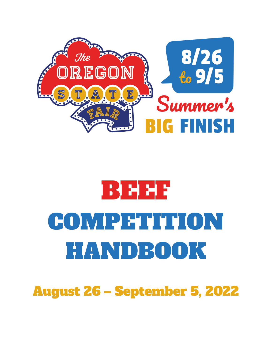

# BEEF COMPETITION HANDBOOK

August 26 – September 5, 2022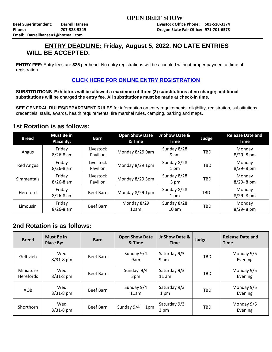## **ENTRY DEADLINE: Friday, August 5, 2022. NO LATE ENTRIES WILL BE ACCEPTED.**

**ENTRY FEE:** Entry fees are **\$25** per head. No entry registrations will be accepted without proper payment at time of registration.

## **[CLICK HERE FOR ONLINE ENTRY REGISTRATION](http://oregona.fairwire.com/)**

**SUBSTITUTIONS**: **Exhibitors will be allowed a maximum of three (3) substitutions at no charge; additional substitutions will be charged the entry fee. All substitutions must be made at check-in time.**

**SEE GENERAL RULES/DEPARTMENT RULES** for information on entry requirements, eligibility, registration, substitutions, credentials, stalls, awards, health requirements, fire marshal rules, camping, parking and maps.

## **1st Rotation is as follows:**

| <b>Breed</b>      | <b>Must Be in</b><br><b>Place By:</b> | <b>Barn</b>           | <b>Open Show Date</b><br>& Time | Jr Show Date &<br><b>Time</b>   | Judge      | <b>Release Date and</b><br><b>Time</b> |
|-------------------|---------------------------------------|-----------------------|---------------------------------|---------------------------------|------------|----------------------------------------|
| Angus             | Friday<br>$8/26 - 8$ am               | Livestock<br>Pavilion | Monday 8/29 9am                 | Sunday 8/28<br>9 am             | <b>TBD</b> | Monday<br>$8/29 - 8$ pm                |
| Red Angus         | Friday<br>$8/26 - 8$ am               | Livestock<br>Pavilion | Monday 8/29 1pm                 | Sunday 8/28<br>1 pm             | <b>TBD</b> | Monday<br>$8/29 - 8$ pm                |
| <b>Simmentals</b> | Friday<br>$8/26 - 8$ am               | Livestock<br>Pavilion | Monday 8/29 3pm                 | Sunday 8/28<br>3 pm             | <b>TBD</b> | Monday<br>$8/29 - 8$ pm                |
| Hereford          | Friday<br>$8/26 - 8$ am               | Beef Barn             | Monday 8/29 1pm                 | Sunday 8/28<br>1 pm             | <b>TBD</b> | Monday<br>$8/29 - 8$ pm                |
| <b>Limousin</b>   | Friday<br>$8/26 - 8$ am               | Beef Barn             | Monday 8/29<br>10am             | Sunday 8/28<br>10 <sub>am</sub> | <b>TBD</b> | Monday<br>8/29-8 pm                    |

## **2nd Rotation is as follows:**

| <b>Breed</b>                  | <b>Must Be in</b><br>Place By: | <b>Barn</b> | <b>Open Show Date</b><br>& Time | Jr Show Date &<br>Time  | Judge      | <b>Release Date and</b><br><b>Time</b> |
|-------------------------------|--------------------------------|-------------|---------------------------------|-------------------------|------------|----------------------------------------|
| Gelbvieh                      | Wed<br>$8/31 - 8$ pm           | Beef Barn   | Sunday 9/4<br>9am               | Saturday 9/3<br>9 am    | <b>TBD</b> | Monday 9/5<br>Evening                  |
| Miniature<br><b>Herefords</b> | Wed<br>$8/31 - 8$ pm           | Beef Barn   | Sunday 9/4<br>3pm               | Saturday 9/3<br>$11$ am | <b>TBD</b> | Monday 9/5<br>Evening                  |
| <b>AOB</b>                    | Wed<br>$8/31 - 8$ pm           | Beef Barn   | Sunday 9/4<br>11am              | Saturday 9/3<br>1 pm    | TBD        | Monday 9/5<br>Evening                  |
| Shorthorn                     | Wed<br>8/31-8 pm               | Beef Barn   | Sunday 9/4<br>1pm               | Saturday 9/3<br>3 pm    | TBD        | Monday 9/5<br>Evening                  |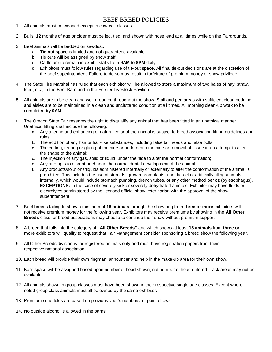## BEEF BREED POLICIES

- 1. All animals must be weaned except in cow-calf classes.
- 2. Bulls, 12 months of age or older must be led, tied, and shown with nose lead at all times while on the Fairgrounds.
- 3. Beef animals will be bedded on sawdust.
	- a. **Tie out** space is limited and not guaranteed available.
	- b. Tie outs will be assigned by show staff.
	- c. Cattle are to remain in exhibit stalls from **9AM** to **8PM** daily.
	- d. Exhibitors must follow rules regarding use of tie-out space. All final tie-out decisions are at the discretion of the beef superintendent. Failure to do so may result in forfeiture of premium money or show privilege.
- 4. The State Fire Marshal has ruled that each exhibitor will be allowed to store a maximum of two bales of hay, straw, feed, etc., in the Beef Barn and in the Forster Livestock Pavilion.
- **5.** All animals are to be clean and well-groomed throughout the show. Stall and pen areas with sufficient clean bedding and aisles are to be maintained in a clean and uncluttered condition at all times. All morning clean-up work to be completed **by 9AM.**
- 6. The Oregon State Fair reserves the right to disqualify any animal that has been fitted in an unethical manner. Unethical fitting shall include the following:
	- a. Any altering and enhancing of natural color of the animal is subject to breed association fitting guidelines and rules;
	- b. The addition of any hair or hair-like substances, including false tail heads and false polls;
	- c. The cutting, tearing or gluing of the hide or underneath the hide or removal of tissue in an attempt to alter the shape of the animal;
	- d. The injection of any gas, solid or liquid, under the hide to alter the normal conformation;
	- e. Any attempts to disrupt or change the normal dental development of the animal;
	- f. Any products/solutions/liquids administered internally or externally to alter the conformation of the animal is prohibited. This includes the use of steroids, growth promotants, and the act of artificially filling animals internally, which would include stomach pumping, drench tubes, or any other method per oz (by esophagus). **EXCEPTIONS:** In the case of severely sick or severely dehydrated animals, Exhibitor may have fluids or electrolytes administered by the licensed official show veterinarian with the approval of the show superintendent.
- 7. Beef breeds failing to show a minimum of **15 animals** through the show ring from **three or more** exhibitors will not receive premium money for the following year. Exhibitors may receive premiums by showing in the **All Other Breeds** class, or breed associations may choose to continue their show without premium support.
- 8. A breed that falls into the category of **"All Other Breeds"** and which shows at least **15 animals** from **three or more** exhibitors will qualify to request that Fair Management consider sponsoring a breed show the following year.
- 9. All Other Breeds division is for registered animals only and must have registration papers from their respective national association.
- 10. Each breed will provide their own ringman, announcer and help in the make-up area for their own show.
- 11. Barn space will be assigned based upon number of head shown, not number of head entered. Tack areas may not be available.
- 12. All animals shown in group classes must have been shown in their respective single age classes. Except where noted group class animals must all be owned by the same exhibitor.
- 13. Premium schedules are based on previous year's numbers, or point shows.
- 14. No outside alcohol is allowed in the barns.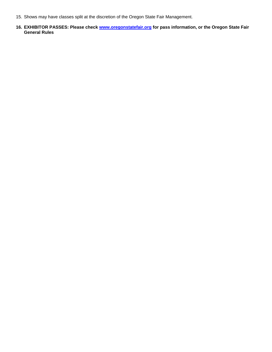- 15. Shows may have classes split at the discretion of the Oregon State Fair Management.
- **16. EXHIBITOR PASSES: Please check [www.oregonstatefair.org](http://www.oregonstatefair.org/) for pass information, or the Oregon State Fair General Rules**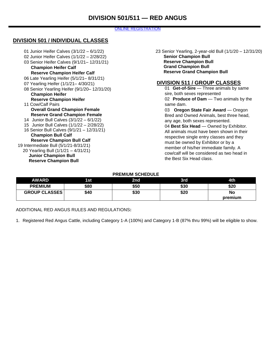## ONLINE REGISTRATION

## **DIVISION 501 / INDIVIDUAL CLASSES**

| 01 Junior Heifer Calves (3/1/22 - 6/1/22)   |
|---------------------------------------------|
| 02 Junior Heifer Calves (1/1/22 - 2/28/22)  |
| 03 Senior Heifer Calves (9/1/21-12/31/21)   |
| <b>Champion Heifer Calf</b>                 |
| <b>Reserve Champion Heifer Calf</b>         |
| 06 Late Yearling Heifer (5/1/21–8/31/21)    |
| 07 Yearling Heifer (1/1/21-4/30/21)         |
| 08 Senior Yearling Heifer (9/1/20-12/31/20) |
| <b>Champion Heifer</b>                      |
| <b>Reserve Champion Heifer</b>              |
| 11 Cow/Calf Pairs                           |
| <b>Overall Grand Champion Female</b>        |
| <b>Reserve Grand Champion Female</b>        |
| 14 Junior Bull Calves (3/1/22 - 6/1/22)     |
| 15 Junior Bull Calves (1/1/22 - 2/28/22)    |
| 16 Senior Bull Calves (9/1/21 - 12/31/21)   |
| <b>Champion Bull Calf</b>                   |
| <b>Reserve Champion Bull Calf</b>           |
| 19 Intermediate Bull (5/1/21-8/31/21)       |
| 20 Yearling Bull (1/1/21 - 4/31/21)         |
| <b>Junior Champion Bull</b>                 |
| <b>Reserve Champion Bull</b>                |
|                                             |

23 Senior Yearling, 2-year-old Bull (1/1/20 – 12/31/20) **Senior Champion Bull Reserve Champion Bull Grand Champion Bull Reserve Grand Champion Bull**

## **DIVISION 511 / GROUP CLASSES**

01 **Get-of-Sire** — Three animals by same sire, both sexes represented 02 **Produce of Dam** — Two animals by the same dam. 03 **Oregon State Fair Award** — Oregon Bred and Owned Animals, best three head, any age, both sexes represented. 04 **Best Six Head** — Owned by Exhibitor. All animals must have been shown in their respective single entry classes and they must be owned by Exhibitor or by a member of his/her immediate family. A

cow/calf will be considered as two head in

the Best Six Head class.

**PREMIUM SCHEDULE**

| AWARD                | 1st  | 2nd  | 3rd  | 4th     |
|----------------------|------|------|------|---------|
| <b>PREMIUM</b>       | \$80 | \$50 | \$30 | \$20    |
| <b>GROUP CLASSES</b> | \$40 | \$30 | \$20 | No      |
|                      |      |      |      | premium |

ADDITIONAL RED ANGUS RULES AND REGULATIONS**:**

1. Registered Red Angus Cattle, including Category 1-A (100%) and Category 1-B (87% thru 99%) will be eligible to show.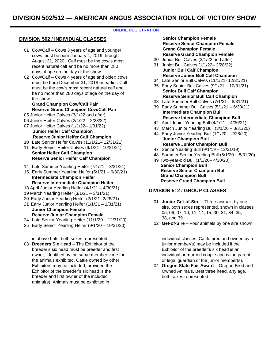## **[ONLINE REGISTRATION](http://oregona.fairmanager.com/)**

## **DIVISION 502 / INDIVIDUAL CLASSES**

- 01 Cow/Calf Cows 3 years of age and younger; cows must be born January 1, 2019 through August 31, 2020. Calf must be the cow's most recent natural calf and be no more than 280 days of age on the day of the show.
- 02 Cow/Calf Cows 4 years of age and older; cows must be born December 31, 2018 or earlier. Calf must be the cow's most recent natural calf and be no more than 280 days of age on the day of the show.

## **Grand Champion Cow/Calf Pair Reserve Grand Champion Cow/Calf Pair**

- 05 Junior Heifer Calves (3/1/22 and after)
- 06 Junior Heifer Calves (2/1/22 2/28/22) 07 Junior Heifer Calves (1/1/22– 1/31/22)
- **Junior Heifer Calf Champion Reserve Junior Heifer Calf Champion**
- 10 Late Senior Heifer Calves (11/1/21– 12/31/21)
- 11 Early Senior Heifer Calves (9/1/21– 10/31/21) **Senior Heifer Calf Champion Reserve Senior Heifer Calf Champion**
- 14 Late Summer Yearling Heifer (7/1/21 8/31/21)
- 15 Early Summer Yearling Heifer (5/1/21 6/30/21) **Intermediate Champion Heifer Reserve Intermediate Champion Heifer**
- 18 April Junior Yearling Heifer (4/1/21 4/30/21)
- 19 March Yearling Heifer (3/1/21 3/31/21)
- 20 Early Junior Yearling Heifer (2/1/21- 2/28/21)
- 21 Early Junior Yearling Heifer (1/1/21 1/31/21) **Junior Champion Female Reserve Junior Champion Female**
- 24 Late Senior Yearling Heifer (11/1/20 12/31/20)
- 25 Early Senior Yearling Heifer (9/1/20 10/31/20)

in above Lots, both sexes represented.

03 **Breeders Six Head** – The Exhibitor of the breeder's six head must be breeder and first owner, identified by the same member code for the animals exhibited. Cattle owned by other Exhibitors may be included, provided the Exhibitor of the breeder's six head is the breeder and first owner of the included animal(s). Animals must be exhibited in

**Senior Champion Female Reserve Senior Champion Female Grand Champion Female Reserve Grand Champion Female**

- 30 Junior Bull Calves (3/1/22 and after)
- 31 Junior Bull Calves (1/1/22– 2/28/22) **Junior Bull Calf Champion**
- **Reserve Junior Bull Calf Champion**
- 34 Late Senior Bull Calves (11/1/21- 12/31/21)
- 35 Early Senior Bull Calves (9/1/21 10/31/21) **Senior Bull Calf Champion Reserve Senior Bull Calf Champion**
- 38 Late Summer Bull Calves (7/1/21 8/31/21)
- 39 Early Summer Bull Calves (5/1/21 6/30/21) **Intermediate Champion Bull**

## **Reserve Intermediate Champion Bull**

- 42 April Junior Yearling Bull (4/1/21 4/30/21)
- 43 March Junior Yearling Bull (3/1/20 3/31/20)
- 44 Early Junior Yearling Bull (1/1/20 2/28/20) **Junior Champion Bull Reserve Junior Champion Bull**
- 47 Senior Yearling Bull (9/1/19 12/31/19)
- 48 Summer Senior Yearling Bull (5/1/20 8/31/20)
- 49 Two-year-old Bull (1/1/20– 4/30/20) **Senior Champion Bull Reserve Senior Champion Bull Grand Champion Bull Reserve Grand Champion Bull**

## **DIVISION 512 / GROUP CLASSES**

- 01 **Junior Get-of-Sire**  Three animals by one sire, both sexes represented, shown in classes 05, 06, 07, 10, 11, 14, 15, 30, 31, 34, 35, 38, and 39.
- 02 **Get-of-Sire**  Four animals by one sire shown

individual classes. Cattle bred and owned by a junior member(s) may be included if the Exhibitor of the breeder's six head is an individual or married couple and is the parent or legal guardian of the junior member(s).

04 Oregon State Fair Award - Oregon Bred and Owned Animals. Best three head, any age, both sexes represented.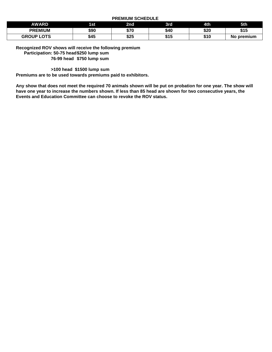**PREMIUM SCHEDULE**

|                   |      | ___  | __   |      |                 |
|-------------------|------|------|------|------|-----------------|
| AWARD             | 1st  | 2nd  | 3rd  | 4th  | 5th             |
| <b>PREMIUM</b>    | \$90 | \$70 | \$40 | \$20 | \$15            |
| <b>GROUP LOTS</b> | \$45 | \$25 | \$15 | \$10 | premium (<br>NO |

**Recognized ROV shows will receive the following premium Participation: 50-75 head\$250 lump sum 76-99 head \$750 lump sum**

**>100 head \$1500 lump sum**

**Premiums are to be used towards premiums paid to exhibitors.**

**Any show that does not meet the required 70 animals shown will be put on probation for one year. The show will have one year to increase the numbers shown. If less than 85 head are shown for two consecutive years, the Events and Education Committee can choose to revoke the ROV status.**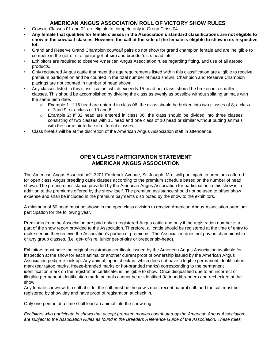## **AMERICAN ANGUS ASSOCIATION ROLL OF VICTORY SHOW RULES**

- Cows in Classes 01 and 02 are eligible to compete only in Group Class 04.
- **Any female that qualifies for female classes in the Association's standard classifications are not eligible to show in the cow/calf classes. However, the calf at the side of the female is eligible to show in its respective lot.**
- Grand and Reserve Grand Champion cow/calf pairs do not show for grand champion female and are ineligible to compete in the get-of-sire, junior get-of-sire and breeder's six-head lots.
- Exhibitors are required to observe American Angus Association rules regarding fitting, and use of all aerosol products.
- Only registered Angus cattle that meet the age requirements listed within this classification are eligible to receive premium participation and be counted in the total number of head shown. Champion and Reserve Champion placings are not counted in number of head shown.
- Any classes listed in this classification, which exceeds 15 head per class, should be broken into smaller classes. This should be accomplished by dividing the class as evenly as possible without splitting animals with the same birth date.
	- $\circ$  Example 1: If 16 head are entered in class 06, the class should be broken into two classes of 8; a class of 7and 9; or a class of 10 and 6.
	- $\circ$  Example 2: If 32 head are entered in class 06, the class should be divided into three classes consisting of two classes with 11 head and one class of 10 head or similar without putting animals with the same birth date in different classes.
- Class breaks will be at the discretion of the American Angus Association staff in attendance.

## **OPEN CLASS PARTICIPATION STATEMENT AMERICAN ANGUS ASSOCIATION**

The American Angus Association®, 3201 Frederick Avenue, St. Joseph, Mo., will participate in premiums offered for open class Angus breeding cattle classes according to the premium schedule based on the number of head shown. The premium assistance provided by the American Angus Association for participation in this show is in addition to the premiums offered by the show itself. The premium assistance should not be used to offset show expense and shall be included in the premium payments distributed by the show to the exhibitors.

A minimum of 50 head must be shown in the open class division to receive American Angus Association premium participation for the following year.

Premiums from the Association are paid only to registered Angus cattle and only if the registration number is a part of the show report provided to the Association. Therefore, all cattle should be registered at the time of entry to make certain they receive the Association's portion of premiums. The Association does not pay on championship or any group classes, (i.e. get- of-sire, junior get-of-sire or breeder six-head).

Exhibitors must have the original registration certificate issued by the American Angus Association available for inspection at the show for each animal or another current proof of ownership issued by the American Angus Association pedigree look up. Any animal, upon check-in, which does not have a legible permanent identification mark (ear tattoo marks, freeze-branded marks or hot-branded marks) corresponding to the permanent identification mark on the registration certificate, is ineligible to show. Once disqualified due to an incorrect or illegible permanent identification mark, animals cannot be re-identified (tattooed/branded) and rechecked at the show.

Any female shown with a calf at side: the calf must be the cow's most recent natural calf, and the calf must be registered by show day and have proof of registration at check in.

Only one person at a time shall lead an animal into the show ring.

*Exhibitors who participate in shows that accept premium monies contributed by the American Angus Association are subject to the Association Rules as found in the Breeders Reference Guide of the Association. These rules*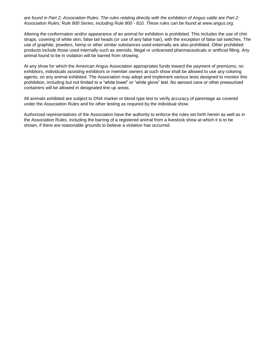*are found in Part 2; Association Rules. The rules relating directly with the exhibition of Angus cattle are Part 2: Association Rules; Rule 800 Series; including Rule 800 - 810. These rules can be found at [www.angus.org.](http://www.angus.org/)*

Altering the conformation and/or appearance of an animal for exhibition is prohibited. This includes the use of chin straps, covering of white skin, false tail heads (or use of any false hair), with the exception of false tail switches. The use of graphite, powders, hemp or other similar substances used externally are also prohibited. Other prohibited products include those used internally such as steroids, illegal or unlicensed pharmaceuticals or artificial filling. Any animal found to be in violation will be barred from showing.

At any show for which the American Angus Association appropriates funds toward the payment of premiums, no exhibitors, individuals assisting exhibitors or member owners at such show shall be allowed to use any coloring agents, on any animal exhibited. The Association may adopt and implement various tests designed to monitor this prohibition, including but not limited to a "white towel" or "white glove" test. No aerosol cans or other pressurized containers will be allowed in designated line up areas.

All animals exhibited are subject to DNA marker or blood type test to verify accuracy of parentage as covered under the Association Rules and for other testing as required by the individual show.

Authorized representatives of the Association have the authority to enforce the rules set forth herein as well as in the Association Rules, including the barring of a registered animal from a livestock show at which it is to be shown, if there are reasonable grounds to believe a violation has occurred.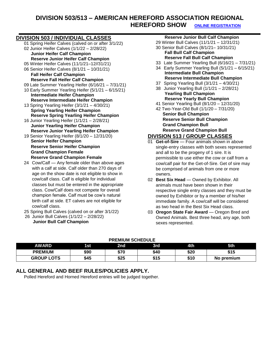## **DIVISION 503/513 – AMERICAN HEREFORD ASSOCIATION REGIONAL HEREFORD SHOW [ONLINE REGISTRATION](http://oregona.fairmanager.com/)**

## **DIVISION 503 / INDIVIDUAL CLASSES**

- 01 Spring Heifer Calves (calved on or after 3/1/22) 02 Junior Heifer Calves (1/1/22 – 2/28/22)
	- **Junior Heifer Calf Champion Reserve Junior Heifer Calf Champion**
- 05 Winter Heifer Calves (11/1/21–12//31/21)
- 06 Senior Heifer Calves (8/1/21 10/31/21) **Fall Heifer Calf Champion** 
	- **Reserve Fall Heifer Calf Champion**
- 09 Late Summer Yearling Heifer (6/16/21 7/31/21)
- 10 Early Summer Yearling Heifer (5/1/21 6/15/21) **Intermediate Heifer Champion Reserve Intermediate Heifer Champion**
- 13 Spring Yearling Heifer (3/1/21 4/30/21) **Spring Yearling Heifer Champion Reserve Spring Yearling Heifer Champion**
- 16 Junior Yearling Heifer (1/1/21 2/28/21) **Junior Yearling Heifer Champion Reserve Junior Yearling Heifer Champion**
- 19 Senior Yearling Heifer (8/1/20 12/31/20) **Senior Heifer Champion Reserve Senior Heifer Champion Grand Champion Female Reserve Grand Champion Female**
- 24 Cow/Calf Any female older than above ages with a calf at side. Calf older than 270 days of age on the show date is not eligible to show in cow/calf class. Calf is eligible for individual classes but must be entered in the appropriate class. Cow/Calf does not compete for overall champion female. Calf must be cow's natural birth calf at side. ET calves are not eligible for cow/calf class.
- 25 Spring Bull Calves (calved on or after 3/1/22)
- 26 Junior Bull Calves (1/1/22 2/28/22) **Junior Bull Calf Champion**

## **Reserve Junior Bull Calf Champion**

- 29 Winter Bull Calves (11/1/21 12/31/21) 30 Senior Bull Calves (8/1/21– 10/31/21)
- **Fall Bull Calf Champion Reserve Fall Bull Calf Champion**
- 33 Late Summer Yearling Bull (6/16/21 7/31/21)
- 34 Early Summer Yearling Bull (5/1/21 6/15/21) **Intermediate Bull Champion Reserve Intermediate Bull Champion**
- 37 Spring Yearling Bull (3/1/21 4/30/21)
- 38 Junior Yearling Bull (1/1/21 2/28/21) **Yearling Bull Champion Reserve Yearly Bull Champion**
- 41 Senior Yearling Bull (8/1/20 12/31/20)
- 42 Two-Year-Old Bull (1/1/20 7/31/20)
- **Senior Bull Champion Reserve Senior Bull Champion Grand Champion Bull Reserve Grand Champion Bull**

## **DIVISION 513 / GROUP CLASSES**

- 01 **Get-of-Sire**  Four animals shown in above single-entry classes with both sexes represented and all to be the progeny of 1 sire. It is permissible to use either the cow or calf from a cow/calf pair for the Get-of-Sire. Get of sire may be comprised of animals from one or more owners.
- 02 **Best Six Head**  Owned by Exhibitor. All animals must have been shown in their respective single entry classes and they must be owned by Exhibitor or by a member of his/her immediate family. A cow/calf will be considered as two head in the Best Six Head class.
- 03 Oregon State Fair Award Oregon Bred and Owned Animals. Best three head, any age, both sexes represented.

## **PREMIUM SCHEDULE**

| AWARD             | 1st  | 2nd  | 3rd  | 4th  | 5th        |
|-------------------|------|------|------|------|------------|
| <b>PREMIUM</b>    | \$90 | \$70 | \$40 | \$20 | \$15       |
| <b>GROUP LOTS</b> | \$45 | \$25 | \$15 | \$10 | No premium |

## **ALL GENERAL AND BEEF RULES/POLICIES APPLY.**

Polled Hereford and Horned Hereford entries will be judged together.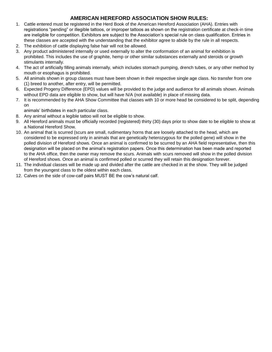## **AMERICAN HEREFORD ASSOCIATION SHOW RULES:**

- 1. Cattle entered must be registered in the Herd Book of the American Hereford Association (AHA). Entries with registrations "pending" or illegible tattoos, or improper tattoos as shown on the registration certificate at check-in time are ineligible for competition. Exhibitors are subject to the Association's special rule on class qualification. Entries in these classes are accepted with the understanding that the exhibitor agree to abide by the rule in all respects.
- 2. The exhibition of cattle displaying false hair will not be allowed.
- 3. Any product administered internally or used externally to alter the conformation of an animal for exhibition is prohibited. This includes the use of graphite, hemp or other similar substances externally and steroids or growth stimulants internally.
- 4. The act of artificially filling animals internally, which includes stomach pumping, drench tubes, or any other method by mouth or esophagus is prohibited.
- 5. All animals shown in group classes must have been shown in their respective single age class. No transfer from one (1) breed to another, after entry, will be permitted.
- 6. Expected Progeny Difference (EPD) values will be provided to the judge and audience for all animals shown. Animals without EPD data are eligible to show, but will have N/A (not available) in place of missing data.
- 7. It is recommended by the AHA Show Committee that classes with 10 or more head be considered to be split, depending on
	- animals' birthdates in each particular class.
- 8. Any animal without a legible tattoo will not be eligible to show.
- 9. All Hereford animals must be officially recorded (registered) thirty (30) days prior to show date to be eligible to show at a National Hereford Show.
- 10. An animal that is scurred (scurs are small, rudimentary horns that are loosely attached to the head, which are considered to be expressed only in animals that are genetically heterozygous for the polled gene) will show in the polled division of Hereford shows. Once an animal is confirmed to be scurred by an AHA field representative, then this designation will be placed on the animal's registration papers. Once this determination has been made and reported to the AHA office, then the owner may remove the scurs. Animals with scurs removed will show in the polled division of Hereford shows. Once an animal is confirmed polled or scurred they will retain this designation forever.
- 11. The individual classes will be made up and divided after the cattle are checked in at the show. They will be judged from the youngest class to the oldest within each class.
- 12. Calves on the side of cow-calf pairs MUST BE the cow's natural calf.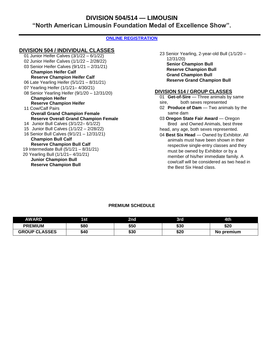## **DIVISION 504/514 — LIMOUSIN "North American Limousin Foundation Medal of Excellence Show".**

## **[ONLINE REGISTRATION](http://oregona.fairmanager.com/)**

## **DIVISION 504 / INDIVIDUAL CLASSES**

- 01 Junior Heifer Calves (3/1/22 6/1/22) 02 Junior Heifer Calves (1/1/22 – 2/28/22) 03 Senior Heifer Calves (9/1/21 – 2/31/21) **Champion Heifer Calf Reserve Champion Heifer Calf** 06 Late Yearling Heifer (5/1/21 – 8/31/21) 07 Yearling Heifer (1/1/21– 4/30/21) 08 Senior Yearling Heifer (9/1/20 – 12/31/20) **Champion Heifer Reserve Champion Heifer** 11 Cow/Calf Pairs **Overall Grand Champion Female Reserve Overall Grand Champion Female** 14 Junior Bull Calves (3/1/22– 6/1/22) 15 Junior Bull Calves (1/1/22 – 2/28/22) 16 Senior Bull Calves (9/1/21 – 12/31/21) **Champion Bull Calf Reserve Champion Bull Calf** 19 Intermediate Bull (5/1/21 – 8/31/21) 20 Yearling Bull (1/1/21– 4/31/21) **Junior Champion Bull**
	- **Reserve Champion Bull**

23 Senior Yearling, 2-year-old Bull (1/1/20 – 12/31/20) **Senior Champion Bull Reserve Champion Bull Grand Champion Bull Reserve Grand Champion Bull**

## **DIVISION 514 / GROUP CLASSES**

- 01 **Get-of-Sire** Three animals by same sire, both sexes represented 02 **Produce of Dam** — Two animals by the same dam 03 **Oregon State Fair Award** — Oregon Bred and Owned Animals, best three head, any age, both sexes represented.
- 04 **Best Six Head**  Owned by Exhibitor. All animals must have been shown in their respective single-entry classes and they must be owned by Exhibitor or by a member of his/her immediate family. A cow/calf will be considered as two head in the Best Six Head class.

| <b>AWARD</b>         | 1st  | 2nd  | 3rd  | 4th        |
|----------------------|------|------|------|------------|
| <b>PREMIUM</b>       | \$80 | \$50 | \$30 | \$20       |
| <b>GROUP CLASSES</b> | \$40 | \$30 | \$20 | No premium |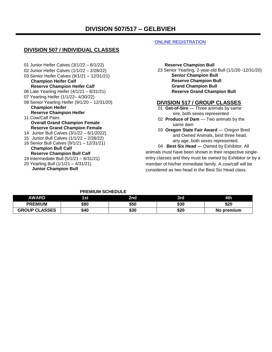## **DIVISION 507 / INDIVIDUAL CLASSES**

01 Junior Heifer Calves (3/1/22 – 6/1/22) 02 Junior Heifer Calves (1/1/22 – 2/28/22) 03 Senior Heifer Calves (9/1/21 – 12/31/21) **Champion Heifer Calf Reserve Champion Heifer Calf** 06 Late Yearling Heifer (4/1/21 – 8/31/21) 07 Yearling Heifer (1/1/22– 4/30/22) 08 Senior Yearling Heifer (9/1/20 – 12/31/20) **Champion Heifer Reserve Champion Heifer** 11 Cow/Calf Pairs **Overall Grand Champion Female Reserve Grand Champion Female** 14 Junior Bull Calves (3/1/22 – 6/1/2022) 15 Junior Bull Calves (1/1/22 – 2/28/22) 16 Senior Bull Calves (9/1/21 – 12/31/21) **Champion Bull Calf Reserve Champion Bull Calf** 19 Intermediate Bull (5/1/21 – 8/31/21) 20 Yearling Bull (1/1/21 – 4/31/21) **Junior Champion Bull**

## [ONLINE REGISTRATION](http://oregona.fairmanager.com/)

#### **Reserve Champion Bull**

23 Senior Yearling, 2-year-old Bull (1/1/20 -12/31/20) **Senior Champion Bull Reserve Champion Bull Grand Champion Bull Reserve Grand Champion Bull**

## **DIVISION 517 / GROUP CLASSES**

- 01 **Get-of-Sire**  Three animals by same sire, both sexes represented
- 02 **Produce of Dam**  Two animals by the same dam
- 03 Oregon State Fair Award Oregon Bred and Owned Animals, best three head, any age, both sexes represented.

04 **Best Six Head** — Owned by Exhibitor. All animals must have been shown in their respective singleentry classes and they must be owned by Exhibitor or by a member of his/her immediate family. A cow/calf will be considered as two head in the Best Six Head class.

| <b>AWARD</b>         | 1st  | 2nd  | 3rd  | 4th        |
|----------------------|------|------|------|------------|
| <b>PREMIUM</b>       | \$80 | \$50 | \$30 | \$20       |
| <b>GROUP CLASSES</b> | \$40 | \$30 | \$20 | No premium |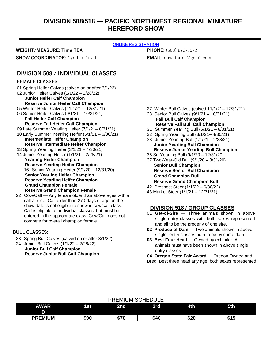## **DIVISION 508/518 — PACIFIC NORTHWEST REGIONAL MINIATURE HEREFORD SHOW**

#### [ONLINE REGISTRATION](http://oregona.fairmanager.com/)

**WEIGHT/MEASURE: Time TBA**

**SHOW COORDINATOR: Cynthia Duval** 

**PHONE:** (503) 873-5572 **EMAIL:** [duvalfarms@gmail.com](mailto:duvalfarms@gmail.com)

## **DIVISION 508 / INDIVIDUAL CLASSES**

## **FEMALE CLASSES**

- 01 Spring Heifer Calves (calved on or after 3/1/22) 02 Junior Heifer Calves (1/1/22 – 2/28/22) **Junior Heifer Calf Champion Reserve Junior Heifer Calf Champion** 05 Winter Heifer Calves (11/1/21 – 12/31/21) 06 Senior Heifer Calves (9/1/21 – 10/31/21) **Fall Heifer Calf Champion Reserve Fall Heifer Calf Champion** 09 Late Summer Yearling Heifer (7/1/21– 8/31/21) 10 Early Summer Yearling Heifer (5/1/21 – 6/30/21) **Intermediate Heifer Champion Reserve Intermediate Heifer Champion** 13 Spring Yearling Heifer (3/1/21 – 4/30/21) 14 Junior Yearling Heifer (1/1/21 – 2/28/21)
	- **Yearling Heifer Champion Reserve Yearling Heifer Champion** 16 Senior Yearling Heifer (9/1/20 – 12/31/20) **Senior Yearling Heifer Champion Reserve Yearling Heifer Champion Grand Champion Female Reserve Grand Champion Female**
- 22 Cow/Calf Any female older than above ages with a calf at side. Calf older than 270 days of age on the show date is not eligible to show in cow/calf class. Calf is eligible for individual classes, but must be entered in the appropriate class. Cow/Calf does not compete for overall champion female.

## **BULL CLASSES:**

- 23 Spring Bull Calves (calved on or after 3/1/22)
- 24 Junior Bull Calves (1/1/22 **–** 2/28/22) **Junior Bull Calf Champion Reserve Junior Bull Calf Champion**
- 27. Winter Bull Calves (calved 11/1/21**–** 12/31/21)
- 28. Senior Bull Calves (9/1/21 **–** 10/31/21) **Fall Bull Calf Champion Reserve Fall Bull Calf Champion**
- 31 Summer Yearling Bull (5/1/21 **–** 8/31/21)
- 32 Spring Yearling Bull (3/1/21**–** 4/30/21)
- 33 Junior Yearling Bull (1/1/21 **–** 2/28/21) **Junior Yearling Bull Champion Reserve Junior Yearling Bull Champion**
- 36 Sr. Yearling Bull (9/1/20 **–** 12/31/20)
- 37 Two-Year-Old Bull (9/1/20 **–** 8/31/20) **Senior Bull Champion Reserve Senior Bull Champion Grand Champion Bull Reserve Grand Champion Bull**
- 42 Prospect Steer (1/1/22 **–** 6/30/22)
- 43 Market Steer (1/1/21 **–** 12/31/21)

## **DIVISION 518 / GROUP CLASSES**

- 01 **Get-of-Sire** Three animals shown in above single-entry classes with both sexes represented and all to be the progeny of one sire.
- **02 Produce of Dam** Two animals shown in above single- entry classes both to be by same dam.
- **03 Best Four Head** Owned by exhibitor. All animals must have been shown in above single entry classes.

**04 Oregon State Fair Award** — Oregon Owned and Bred. Best three head any age, both sexes represented.

| <b>AWAR</b><br>D | 1st  | 2nd                | 3rd  | 4th         | 5th  |
|------------------|------|--------------------|------|-------------|------|
| <b>PREMIUM</b>   | \$90 | ホーー<br>ט ונ<br>-13 | \$40 | e or<br>ა∠∪ | • ເປ |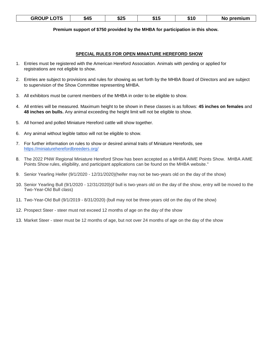| LOTS<br><b>GROUP'</b> | \$45 | \$25 | . .<br>*1 h<br> | \$10 | No premium |
|-----------------------|------|------|-----------------|------|------------|
|-----------------------|------|------|-----------------|------|------------|

## **Premium support of \$750 provided by the MHBA for participation in this show.**

#### **SPECIAL RULES FOR OPEN MINIATURE HEREFORD SHOW**

- 1. Entries must be registered with the American Hereford Association. Animals with pending or applied for registrations are not eligible to show.
- 2. Entries are subject to provisions and rules for showing as set forth by the MHBA Board of Directors and are subject to supervision of the Show Committee representing MHBA.
- 3. All exhibitors must be current members of the MHBA in order to be eligible to show.
- 4. All entries will be measured. Maximum height to be shown in these classes is as follows: **45 inches on females** and **48 inches on bulls.** Any animal exceeding the height limit will not be eligible to show.
- 5. All horned and polled Miniature Hereford cattle will show together.
- 6. Any animal without legible tattoo will not be eligible to show.
- 7. For further information on rules to show or desired animal traits of Miniature Herefords, see [https://miniatureherefordbreeders.org/](https://nam12.safelinks.protection.outlook.com/?url=https%3A%2F%2Fminiatureherefordbreeders.org%2F&data=05%7C01%7C%7C8ff9c03d50b64d50ee2c08da2c6ae30b%7C84df9e7fe9f640afb435aaaaaaaaaaaa%7C1%7C0%7C637871134932395607%7CUnknown%7CTWFpbGZsb3d8eyJWIjoiMC4wLjAwMDAiLCJQIjoiV2luMzIiLCJBTiI6Ik1haWwiLCJXVCI6Mn0%3D%7C3000%7C%7C%7C&sdata=AOAalVroJ4MNlvsZ%2BX0VvRZIeyo8t34yTDOguRCDo14%3D&reserved=0)
- 8. The 2022 PNW Regional Miniature Hereford Show has been accepted as a MHBA AIME Points Show. MHBA AIME Points Show rules, eligibility, and participant applications can be found on the MHBA website."
- 9. Senior Yearling Heifer (9/1/2020 12/31/2020)(heifer may not be two-years old on the day of the show)
- 10. Senior Yearling Bull (9/1/2020 12/31/2020)(if bull is two-years old on the day of the show, entry will be moved to the Two-Year-Old Bull class)
- 11. Two-Year-Old Bull (9/1/2019 8/31/2020) (bull may not be three-years old on the day of the show)
- 12. Prospect Steer steer must not exceed 12 months of age on the day of the show
- 13. Market Steer steer must be 12 months of age, but not over 24 months of age on the day of the show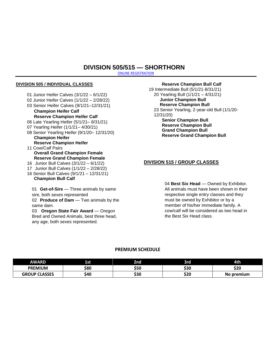## **DIVISION 505/515 — SHORTHORN**

[ONLINE REGISTRATION](http://oregona.fairmanager.com/)

#### **DIVISION 505 / INDIVIDUAL CLASSES**

- 01 Junior Heifer Calves (3/1/22 6/1/22)
- 02 Junior Heifer Calves (1/1/22 2/28/22)
- 03 Senior Heifer Calves (9/1/21–12/31/21) **Champion Heifer Calf**
- **Reserve Champion Heifer Calf** 06 Late Yearling Heifer (5/1/21– 8/31/21)
- 07 Yearling Heifer (1/1/21– 4/30/21)
- 08 Senior Yearling Heifer (9/1/20– 12/31/20)
	- **Champion Heifer Reserve Champion Heifer**
- 11 Cow/Calf Pairs **Overall Grand Champion Female Reserve Grand Champion Female**
- 16 Junior Bull Calves (3/1/22 6/1/22)
- 17 Junior Bull Calves (1/1/22 2/28/22)
- 16 Senior Bull Calves (9/1/21 12/31/21)

## **Champion Bull Calf**

01 **Get-of-Sire** — Three animals by same sire, both sexes represented 02 **Produce of Dam** — Two animals by the

same dam. 03 Oregon State Fair Award — Oregon Bred and Owned Animals, best three head, any age, both sexes represented.

**Reserve Champion Bull Calf** 19 Intermediate Bull (5/1/21-8/31/21) 20 Yearling Bull (1/1/21 – 4/31/21) **Junior Champion Bull Reserve Champion Bull** 23 Senior Yearling, 2-year-old Bull (1/1/20- 12/31/20) **Senior Champion Bull Reserve Champion Bull Grand Champion Bull Reserve Grand Champion Bull**

## **DIVISION 515 / GROUP CLASSES**

04 Best Six Head - Owned by Exhibitor. All animals must have been shown in their respective single entry classes and they must be owned by Exhibitor or by a member of his/her immediate family. A cow/calf will be considered as two head in the Best Six Head class.

| <b>AWARD</b>         | 1st  | 2nd        | 3rd  | <b>4th</b> |
|----------------------|------|------------|------|------------|
| <b>PREMIUM</b>       | \$80 | \$50       | \$30 | car<br>JZU |
| <b>GROUP CLASSES</b> | \$40 | יפ:<br>JJU | \$20 | No premium |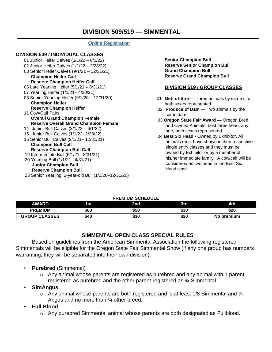## **[Online Registration](http://oregona.fairmanager.com/)**

## **DIVISION 509 / INDIVIDUAL CLASSES**

01 Junior Heifer Calves (3/1/22 – 6/1/22) 02 Junior Heifer Calves (1/1/22 – 2/28/22) 03 Senior Heifer Calves (9/1/21 – 12/31/21) **Champion Heifer Calf Reserve Champion Heifer Calf** 06 Late Yearling Heifer (5/1/21 – 8/31/21) 07 Yearling Heifer (1/1/21– 4/30/21) 08 Senior Yearling Heifer (9/1/20 – 12/31/20) **Champion Heifer Reserve Champion Heifer** 11 Cow/Calf Pairs **Overall Grand Champion Female Reserve Overall Grand Champion Female** 14 Junior Bull Calves (3/1/22 – 6/1/22) 15 Junior Bull Calves (1/1/22- 2/28/22) 16 Senior Bull Calves (9/1/21– 12/31/21) **Champion Bull Calf Reserve Champion Bull Calf** 19 Intermediate Bull (5/1/21– 8/31/21) 20 Yearling Bull (1/1/21– 4/31/21) **Junior Champion Bull Reserve Champion Bull** 23 Senior Yearling, 2-year-old Bull (1/1/20–12/31/20)

**Senior Champion Bull Reserve Senior Champion Bull Grand Champion Bull Reserve Grand Champion Bull**

## **DIVISION 519 / GROUP CLASSES**

- 01 **Get- of-Sire**  Three animals by same sire, both sexes represented
- 02 **Produce of Dam**  Two animals by the same dam.
- 03 **Oregon State Fair Award**  Oregon Bred and Owned Animals, best three head, any age, both sexes represented.
- 04 **Best Six Head -** Owned by Exhibitor. All animals must have shown in their respective single entry classes and they must be owned by Exhibitor or by a member of his/her immediate family. A cow/calf will be considered as two head in the Best Six Head class.

## **PREMIUM SCHEDULE**

| <b>AWARD</b>         | 1st  | 2nd  | 3rd  | 4th             |
|----------------------|------|------|------|-----------------|
| <b>PREMIUM</b>       | \$80 | \$50 | \$30 | \$20            |
| <b>GROUP CLASSES</b> | \$40 | \$30 | \$20 | premium ו<br>No |

## **SIMMENTAL OPEN CLASS SPECIAL RULES**

Based on guidelines from the American Simmental Association the following registered Simmentals will be eligible for the Oregon State Fair Simmental Show (if any one group has numbers warranting, they will be separated into their own division):

- **Purebred** (Simmental)
	- $\circ$  Any animal whose parents are registered as purebred and any animal with 1 parent registered as purebred and the other parent registered as ¾ Simmental.
- **SimAngus**
	- $\circ$  Any animal whose parents are both registered and is at least 1/8 Simmental and  $\mathcal{U}_4$ Angus and no more than ¼ other breed.
- **Full Blood**
	- $\circ$  Any purebred Simmental animal whose parents are both designated as Fullblood.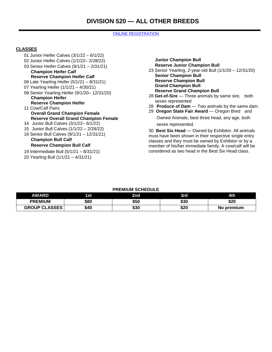#### [ONLINE REGISTRATION](http://oregona.fairmanager.com/)

## **CLASSES**

- 01 Junior Heifer Calves (3/1/22 6/1/22)
- 02 Junior Heifer Calves (1/1/22– 2/28/22)
- 03 Senior Heifer Calves (9/1/21 2/31/21) **Champion Heifer Calf**
- **Reserve Champion Heifer Calf**
- 06 Late Yearling Heifer (5/1/21 8/31/21)
- 07 Yearling Heifer (1/1/21 4/30/21)
- 08 Senior Yearling Heifer (9/1/20– 12/31/20) **Champion Heifer**
- **Reserve Champion Heifer** 11 Cow/Calf Pairs
	- **Overall Grand Champion Female Reserve Overall Grand Champion Female**
- 14 Junior Bull Calves (3/1/22– 6/1/22)
- 15 Junior Bull Calves (1/1/22 2/28/22)
- 16 Senior Bull Calves (9/1/21 12/31/21) **Champion Bull Calf**

## **Reserve Champion Bull Calf**

- 19 Intermediate Bull (5/1/21 8/31/21)
- 20 Yearling Bull (1/1/21 4/31/21)
- **Junior Champion Bull Reserve Junior Champion Bull** 23 Senior Yearling, 2-year-old Bull (1/1/20 – 12/31/20) **Senior Champion Bull Reserve Champion Bull Grand Champion Bull Reserve Grand Champion Bull**
- 28 **Get-of-Sire**  Three animals by same sire, both sexes represented
- 28 **Produce of Dam**  Two animals by the same dam.
- 29 **Oregon State Fair Award**  Oregon Bred and Owned Animals, best three head, any age, both sexes represented.

30 **Best Six Head** — Owned by Exhibitor. All animals must have been shown in their respective single entry classes and they must be owned by Exhibitor or by a member of his/her immediate family. A cow/calf will be considered as two head in the Best Six Head class.

| AWARD                | 1st  | 2nd  | 3rd  | 4th        |
|----------------------|------|------|------|------------|
| <b>PREMIUM</b>       | \$80 | \$50 | \$30 | \$20       |
| <b>GROUP CLASSES</b> | \$40 | \$30 | \$20 | No premium |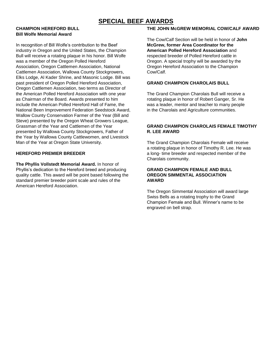# **SPECIAL BEEF AWARDS**

## **CHAMPION HEREFORD BULL Bill Wolfe Memorial Award**

In recognition of Bill Wolfe's contribution to the Beef industry in Oregon and the United States, the Champion Bull will receive a rotating plaque in his honor. Bill Wolfe was a member of the Oregon Polled Hereford Association, Oregon Cattlemen Association, National Cattlemen Association, Wallowa County Stockgrowers, Elks Lodge, Al Kader Shrine, and Masonic Lodge. Bill was past president of Oregon Polled Hereford Association, Oregon Cattlemen Association, two terms as Director of the American Polled Hereford Association with one year as Chairman of the Board. Awards presented to him include the American Polled Hereford Hall of Fame, the National Been Improvement Federation Seedstock Award, Wallow County Conservation Farmer of the Year (Bill and Steve) presented by the Oregon Wheat Growers League, Grassman of the Year and Cattlemen of the Year presented by Wallowa County Stockgrowers, Father of the Year by Wallowa County Cattlewomen, and Livestock Man of the Year at Oregon State University.

## **HEREFORD PREMIER BREEDER**

**The Phyllis Vollstedt Memorial Award.** In honor of Phyllis's dedication to the Hereford breed and producing quality cattle. This award will be point based following the standard premier breeder point scale and rules of the American Hereford Association.

#### **THE JOHN McGREW MEMORIAL COW/CALF AWARD**

The Cow/Calf Section will be held in honor of **John McGrew, former Area Coordinator for the American Polled Hereford Association** and respected breeder of Polled Hereford cattle in Oregon. A special trophy will be awarded by the Oregon Hereford Association to the Champion Cow/Calf.

#### **GRAND CHAMPION CHAROLAIS BULL**

The Grand Champion Charolais Bull will receive a rotating plaque in honor of Robert Ganger, Sr. He was a leader, mentor and teacher to many people in the Charolais and Agriculture communities.

## **GRAND CHAMPION CHAROLAIS FEMALE TIMOTHY R. LEE AWARD**

The Grand Champion Charolais Female will receive a rotating plaque in honor of Timothy R. Lee. He was a long- time breeder and respected member of the Charolais community.

#### **GRAND CHAMPION FEMALE AND BULL OREGON SIMMENTAL ASSOCIATION AWARD**

The Oregon Simmental Association will award large Swiss Bells as a rotating trophy to the Grand Champion Female and Bull. Winner's name to be engraved on bell strap.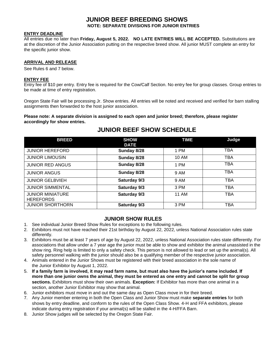## **JUNIOR BEEF BREEDING SHOWS**

**NOTE: SEPARATE DIVISIONS FOR JUNIOR ENTRIES**

## **ENTRY DEADLINE**

All entries due no later than **Friday, August 5, 2022. NO LATE ENTRIES WILL BE ACCEPTED.** Substitutions are at the discretion of the Junior Association putting on the respective breed show. All junior MUST complete an entry for the specific junior show.

## **ARRIVAL AND RELEASE**

See Rules 6 and 7 below.

#### **ENTRY FEE**

Entry fee of \$10 per entry. Entry fee is required for the Cow/Calf Section. No entry fee for group classes. Group entries to be made at time of entry registration.

Oregon State Fair will be processing Jr. Show entries. All entries will be noted and received and verified for barn stalling assignments then forwarded to the host junior association.

**Please note: A separate division is assigned to each open and junior breed; therefore, please register accordingly for show entries.**

## **JUNIOR BEEF SHOW SCHEDULE**

| <b>BREED</b>                                | <b>SHOW</b><br><b>DATE</b> | <b>TIME</b>  | Judge      |
|---------------------------------------------|----------------------------|--------------|------------|
| <b>JUNIOR HEREFORD</b>                      | Sunday 8/28                | 1 PM         | TBA        |
| <b>JUNIOR LIMOUSIN</b>                      | Sunday 8/28                | 10 AM        | <b>TBA</b> |
| <b>JUNIOR RED ANGUS</b>                     | Sunday 8/28                | 1 PM         | <b>TBA</b> |
| <b>JUNIOR ANGUS</b>                         | Sunday 8/28                | 9 AM         | <b>TBA</b> |
| <b>JUNIOR GELBVIEH</b>                      | Saturday 9/3               | 9 AM         | TBA        |
| <b>JUNIOR SIMMENTAL</b>                     | Saturday 9/3               | 3 PM         | TBA        |
| <b>JUNIOR MINIATURE</b><br><b>HEREFORDS</b> | Saturday 9/3               | <b>11 AM</b> | TBA        |
| <b>JUNIOR SHORTHORN</b>                     | Saturday 9/3               | 3 PM         | TBA        |

## **JUNIOR SHOW RULES**

- 1. See individual Junior Breed Show Rules for exceptions to the following rules.
- 2. Exhibitors must not have reached their 21st birthday by August 22, 2022, unless National Association rules state differently.
- 3. Exhibitors must be at least 7 years of age by August 22, 2022, unless National Association rules state differently. For associations that allow under a 7 year age the junior must be able to show and exhibitor the animal unassisted in the show ring. Ring help is limited to only a safety check. This person is not allowed to lead or set up the animal(s). All safety personnel walking with the junior should also be a qualifying member of the respective junior association.
- 4. Animals entered in the Junior Shows must be registered with their breed association in the sole name of the Junior Exhibitor by August 1, 2022.
- 5. **If a family farm is involved, it may read farm name, but must also have the junior's name included. If more than one junior owns the animal, they must be entered as one entry and cannot be split for group sections.** Exhibitors must show their own animals. **Exception:** If Exhibitor has more than one animal in a section, another Junior Exhibitor may show that animal.
- 6. Junior exhibitors must move in and out the same day as Open Class move in for their breed.
- 7. Any Junior member entering in both the Open Class and Junior Show must make **separate entries** for both shows by entry deadline, and conform to the rules of the Open Class Show. 4-H and FFA exhibitors, please indicate during entry registration if your animal(s) will be stalled in the 4-H/FFA Barn.
- 8. Junior Show judges will be selected by the Oregon State Fair.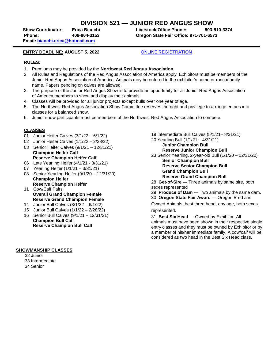## **DIVISION 521 — JUNIOR RED ANGUS SHOW**

**Show Coordinator: Erica Bianchi Livestock Office Phone: 503-510-3374 Phone: 408-804-3153 Oregon State Fair Office: 971-701-6573**

 **Email: [bianchi.erica@hotmail.com](mailto:bianchi.erica@hotmail.com)** 

## **ENTRY DEADLINE: AUGUST 5, 2022** [ONLINE REGISTRATION](http://oregona.fairmanager.com/)

#### **RULES:**

- 1. Premiums may be provided by the **Northwest Red Angus Association**.
- 2. All Rules and Regulations of the Red Angus Association of America apply. Exhibitors must be members of the Junior Red Angus Association of America. Animals may be entered in the exhibitor's name or ranch/family name. Papers pending on calves are allowed.
- 3. The purpose of the Junior Red Angus Show is to provide an opportunity for all Junior Red Angus Association of America members to show and display their animals.
- 4. Classes will be provided for all junior projects except bulls over one year of age.
- 5. The Northwest Red Angus Association Show Committee reserves the right and privilege to arrange entries into classes for a balanced show.
- 6. Junior show participants must be members of the Northwest Red Angus Association to compete.

## **CLASSES**

- 01 Junior Heifer Calves (3/1/22 6/1/22)
- 02 Junior Heifer Calves (1/1/22 2/28/22)
- 03 Senior Heifer Calves (9/1/21 12/31/21) **Champion Heifer Calf Reserve Champion Heifer Calf**
- 06 Late Yearling Heifer (4/1/21 8/31/21)
- 07 Yearling Heifer (1/1/21 3/31/21)
- 08 Senior Yearling Heifer (9/1/20 12/31/20) **Champion Heifer Reserve Champion Heifer**
- 11 Cow/Calf Pairs **Overall Grand Champion Female Reserve Grand Champion Female**
- 14 Junior Bull Calves (3/1/22 6/1/22)
- 15 Junior Bull Calves (1/1/22 2/28/22)
- 16 Senior Bull Calves (9/1/21 12/31/21) **Champion Bull Calf Reserve Champion Bull Calf**
- **SHOWMANSHIP CLASSES**
	- 32 Junior 33 Intermediate 34 Senior

19 Intermediate Bull Calves (5/1/21– 8/31/21)

20 Yearling Bull (1/1/21 – 4/31/21) **Junior Champion Bull**

**Reserve Junior Champion Bull**

23 Senior Yearling, 2-year-old Bull (1/1/20 – 12/31/20)

**Senior Champion Bull Reserve Senior Champion Bull Grand Champion Bull Reserve Grand Champion Bull**

28 Get-of-Sire – Three animals by same sire, both sexes represented

29 **Produce of Dam** — Two animals by the same dam. 30 **Oregon State Fair Award** — Oregon Bred and

Owned Animals, best three head, any age, both sexes represented.

31 **Best Six Head** — Owned by Exhibitor. All animals must have been shown in their respective single entry classes and they must be owned by Exhibitor or by a member of his/her immediate family. A cow/calf will be considered as two head in the Best Six Head class.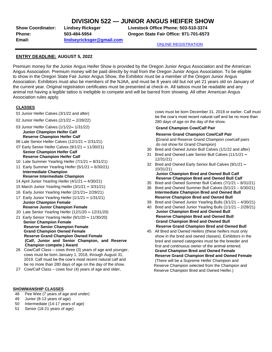## **DIVISION 522 — JUNIOR ANGUS HEIFER SHOW**

**Email: [lindseyricksger@gmail.com](mailto:lindseyricksger@gmail.com)**

**Show Coordinator: Lindsey Ricksger Livestock Office Phone: 503-510-3374 Phone: 503-484-5954 Oregon State Fair Office: 971-701-6573** 

[ONLINE REGISTRATION](http://oregona.fairmanager.com/)

#### **ENTRY DEADLINE: AUGUST 5, 2022**

Premium money for the Junior Angus Heifer Show is provided by the Oregon Junior Angus Association and the American Angus Association. Premium money will be paid directly by mail from the Oregon Junior Angus Association. To be eligible to show in the Oregon State Fair Junior Angus Show, the Exhibitor must be a member of the Oregon Junior Angus Association. Exhibitors must also be members of the NJAA, and must be 8 years old but not yet 21 years old on January of the current year. Original registration certificates must be presented at check-in. All tattoos must be readable and any animal not having a legible tattoo is ineligible to compete and will be barred from showing. All other American Angus Association rules apply.

## **CLASSES**

- 01 Junior Heifer Calves (3/1/22 and after)
- 02 Junior Heifer Calves (2/1/22 **–** 2/28/22)
- 03 Junior Heifer Calves (1/1/22**–** 1/31/22) **Junior Champion Heifer Calf Reserve Champion Heifer Calf**
- 06 Late Senior Heifer Calves (12/1/21 **–** 2/31/21)
- 07 Early Senior Heifer Calves (9/1/21 **–** 11/30/21) **Senior Champion Heifer Calf Reserve Champion Heifer Calf**
- 10 Late Summer Yearling Heifer (7/1/21 **–** 8/31/21)
- 11 Early Summer Yearling Heifer (5/1/21 **–** 6/30/21) **Intermediate Champion**

#### **Reserve Intermediate Champion**

- 14 April Junior Yearling Heifer (4/1/21 **–** 4/30/21)
- 15 March Junior Yearling Heifer (3/1/21 **–** 3/31/21)
- 16 Early Junior Yearling Heifer (2/1/21**–** 2/28/21)
- 17 Early Junior Yearling Heifer (1/1/21 **–** 1/31/21)  **Junior Champion Female**
- **Reserve Junior Champion Female**
- 20 Late Senior Yearling Heifer (12/1/20 **–** 12/31/20)
- 21 Early Senior Yearling Heifer (9/1/20 **–** 11/30/20) **Senior Champion Female Reserve Senior Champion Female Grand Champion Owned Female Reserve Grand Champion Owned Female (Calf, Junior and Senior Champion, and Reserve Champion compete.) Award**
- 26 Cow/Calf Class cows three (3) years of age and younger, cows must be born January 1, 2018, through August 31, 2019. Calf must be the cow's most recent natural calf and be no more than 280 days of age on the day of the show.
- 27 Cow/Calf Class cows four (4) years of age and older,

#### **SHOWMANSHIP CLASSES**

- 48 Pee Wee (7 years of age and under)
- 49 Junior (8-13 years of age)
- 50 Intermediate (14-17 years of age)
- 51 Senior (18-21 years of age)

cows must be born December 31, 2018 or earlier. Calf must be the cow's most recent natural calf and be no more than 280 days of age on the day of the show.

#### **Grand Champion Cow/Calf Pair**

#### **Reserve Grand Champion Cow/Calf Pair**

**(**Grand and Reserve Grand Champion cow/calf pairs do not show for Grand Champion)

- 30 Bred and Owned Junior Bull Calves (1/1/22 and after)
- 31 Bred and Owned Late Senior Bull Calves (11/1/21 **–** 12/31/21)
- 32 Bred and Owned Early Senior Bull Calves (9/1/21 **–** 10/31/21)

#### **Junior Champion Bred and Owned Bull Calf Reserve Champion Bred and Owned Bull Calf**

- 35 Bred and Owned Summer Bull Calves (7/1/21 8/31/21)
- 36 Bred and Owned Summer Bull Calves (5/1/21 6/30/21) **Intermediate Champion Bred and Owned Bull Reserve Champion Bred and Owned Bull**
- 39 Bred and Owned Junior Yearling Bulls (3/1/21 4/30/21)
- 40 Bred and Owned Junior Yearling Bulls (1/1/21 2/28/21) **Junior Champion Bred and Owned Bull Reserve Champion Bred and Owned Bull Grand Champion Bred and Owned Bull Reserve Grand Champion Bred and Owned Bull**
- 45 All Bred and Owned Heifers (these heifers must only show in the bred and owned classes). Exhibitors in the bred and owned categories must be the breeder and first and continuous owner of the animal entered. **Grand Champion Bred and Owned Female Reserve Grand Champion Bred and Owned Female** (There will be a Supreme Heifer Champion and Reserve Champion selected from the Champion and Reserve Champion Bred and Owned Heifer.)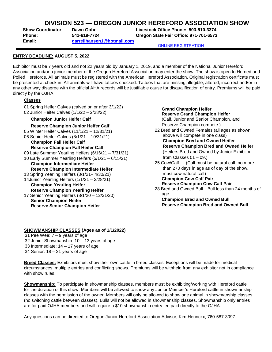## **DIVISION 523 — OREGON JUNIOR HEREFORD ASSOCIATION SHOW**

**Email: [darrellhansen1@hotmail.com](mailto:darrellhansen1@hotmail.com)**

**Show Coordinator: Dawn Gohr Livestock Office Phone: 503-510-3374 Phone: 541-619-7724 Oregon State Fair Office: 971-701-6573** 

[ONLINE REGISTRATION](http://oregona.fairmanager.com/)

## **ENTRY DEADLINE: AUGUST 5, 2022**

Exhibitor must be 7 years old and not 22 years old by January 1, 2019, and a member of the National Junior Hereford Association and/or a junior member of the Oregon Hereford Association may enter the show. The show is open to Horned and Polled Herefords. All animals must be registered with the American Hereford Association. Original registration certificate must be presented at check in. All animals will have tattoos checked. Tattoos that are missing, illegible, altered, incorrect and/or in any other way disagree with the official AHA records will be justifiable cause for disqualification of entry. Premiums will be paid directly by the OJHA.

## **Classes**

- 01 Spring Heifer Calves (calved on or after 3/1/22)
- 02 Junior Heifer Calves (1/1/22 2/28/22)

## **Champion Junior Heifer Calf**

#### **Reserve Champion Junior Heifer Calf**

- 05 Winter Heifer Calves (11/1/21 12/31/21) 06 Senior Heifer Calves (8/1/21 – 10/31/21) **Champion Fall Heifer Calf Reserve Champion Fall Heifer Calf** 09 Late Summer Yearling Heifers (6/16/21 – 7/31/21) 10 Early Summer Yearling Heifers (5/1/21 – 6/15/21) **Champion Intermediate Heifer Reserve Champion Intermediate Heifer** 13 Spring Yearling Heifers (3/1/21– 4/30/21) 14Junior Yearling Heifers (1/1/21 – 2/28/21) **Champion Yearling Heifer Reserve Champion Yearling Heifer**
- 17 Senior Yearling Heifers (8/1/20 12/31/20) **Senior Champion Heifer Reserve Senior Champion Heifer**

**Grand Champion Heifer Reserve Grand Champion Heifer** (Calf, Junior and Senior Champion, and Reserve Champion compete.) 22 Bred and Owned Females (all ages as shown above will compete in one class) **Champion Bred and Owned Heifer Reserve Champion Bred and Owned Heifer** (Heifers Bred and Owned by Junior Exhibitor from Classes  $01 - 09$ .) 25 Cow/Calf — (Calf must be natural calf, no more than 270 days in age as of day of the show, must cow natural calf) **Champion Cow Calf Pair Reserve Champion Cow Calf Pair** 28 Bred and Owned Bull—Bull less than 24 months of

age **Champion Bred and Owned Bull**

**Reserve Champion Bred and Owned Bull**

## **SHOWMANSHIP CLASSES (Ages as of 1/1/2022)**

 Pee Wee: 7 – 9 years of age Junior Showmanship: 10 – 13 years of age Intermediate: 14 – 17 years of age Senior: 18 – 21 years of age

**Breed Classes:** Exhibitors must show their own cattle in breed classes. Exceptions will be made for medical circumstances, multiple entries and conflicting shows. Premiums will be withheld from any exhibitor not in compliance with show rules.

**Showmanship:** To participate in showmanship classes, members must be exhibiting/working with Hereford cattle for the duration of this show. Members will be allowed to show any Junior Member's Hereford cattle in showmanship classes with the permission of the owner. Members will only be allowed to show one animal in showmanship classes (no switching cattle between classes). Bulls will not be allowed in showmanship classes. Showmanship only entries are for paid OJHA members and will require a \$10 showmanship entry fee paid directly to the OJHA.

Any questions can be directed to Oregon Junior Hereford Association Advisor, Kim Herinckx, 760-587-3097.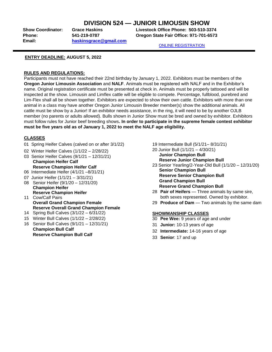## **DIVISION 524 — JUNIOR LIMOUSIN SHOW**

**Phone: 541-219-0787 Oregon State Fair Office: 971-701-6573 Email: [haskinsgrace@gmail.com](mailto:haskinsgrace@gmail.com)**

**Show Coordinator: Grace Haskins Livestock Office Phone: 503-510-3374**

[ONLINE REGISTRATION](http://oregona.fairmanager.com/)

## **ENTRY DEADLINE: AUGUST 5, 2022**

## **RULES AND REGULATIONS:**

Participants must not have reached their 22nd birthday by January 1, 2022. Exhibitors must be members of the **Oregon Junior Limousin Association** and **NALF**. Animals must be registered with NALF and in the Exhibitor's name. Original registration certificate must be presented at check in. Animals must be properly tattooed and will be inspected at the show. Limousin and Limflex cattle will be eligible to compete. Percentage, fullblood, purebred and Lim-Flex shall all be shown together. Exhibitors are expected to show their own cattle. Exhibitors with more than one animal in a class may have another Oregon Junior Limousin Breeder member(s) show the additional animals. All cattle must be show by a Junior! If an exhibitor needs assistance, in the ring, it will need to be by another OJLB member (no parents or adults allowed). Bulls shown in Junior Show must be bred and owned by exhibitor. Exhibitors must follow rules for Junior beef breeding shows**. In order to participate in the supreme female contest exhibitor must be five years old as of January 1, 2022 to meet the NALF age eligibility.**

## **CLASSES**

- 01 Spring Heifer Calves (calved on or after 3/1/22)
- 02 Winter Heifer Calves (1/1/22 2/28/22)
- 03 Senior Heifer Calves (9/1/21 12/31/21) **Champion Heifer Calf Reserve Champion Heifer Calf**
- 06 Intermediate Heifer (4/1/21 –8/31/21)
- 07 Junior Heifer (1/1/21 3/31/21)
- 08 Senior Heifer (9/1/20 12/31/20) **Champion Heifer**
- **Reserve Champion Heifer** 11 Cow/Calf Pairs **Overall Grand Champion Female Reserve Overall Grand Champion Female**
- 14 Spring Bull Calves (3/1/22 6/31/22)
- 15 Winter Bull Calves (1/1/22 2/28/22)
- 16 Senior Bull Calves (9/1/21 12/31/21) **Champion Bull Calf Reserve Champion Bull Calf**
- 19 Intermediate Bull (5/1/21– 8/31/21)
- 20 Junior Bull (1/1/21 4/30/21) **Junior Champion Bull Reserve Junior Champion Bull**
- 23 Senior Yearling/2-Year-Old Bull (1/1/20 12/31/20) **Senior Champion Bull Reserve Senior Champion Bull Grand Champion Bull Reserve Grand Champion Bull**
- 28 **Pair of Heifers**  Three animals by same sire, both sexes represented. Owned by exhibitor.
- 29 **Produce of Dam**  Two animals by the same dam

## **SHOWMANSHIP CLASSES**

- 30 **Pee Wee:** 9 years of age and under
- 31 **Junior:** 10-13 years of age
- 32 **Intermediate:** 14-16 years of age
- 33 **Senior**: 17 and up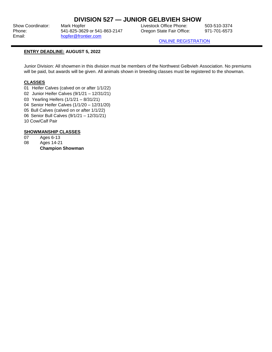## **DIVISION 527 — JUNIOR GELBVIEH SHOW**

Show Coordinator: Mark Hopfer Coordinator: Mark Hopfer Livestock Office Phone: 503-510-3374 Phone: 541-825-3629 or 541-863-2147 Oregon State Fair Office: 971-701-6573 Email: [hopfer@frontier.com](mailto:hopfer@frontier.com)

[ONLINE REGISTRATION](http://oregona.fairmanager.com/)

## **ENTRY DEADLINE: AUGUST 5, 2022**

Junior Division: All showmen in this division must be members of the Northwest Gelbvieh Association. No premiums will be paid, but awards will be given. All animals shown in breeding classes must be registered to the showman.

## **CLASSES**

- 01 Heifer Calves (calved on or after 1/1/22)
- 02 Junior Heifer Calves (9/1/21 12/31/21)
- 03 Yearling Heifers (1/1/21 8/31/21)
- 04 Senior Heifer Calves (1/1/20 12/31/20)
- 05 Bull Calves (calved on or after 1/1/22)
- 06 Senior Bull Calves (9/1/21 12/31/21)
- 10 Cow/Calf Pair

## **SHOWMANSHIP CLASSES**

- 07 Ages 6-13
- 08 Ages 14-21 **Champion Showman**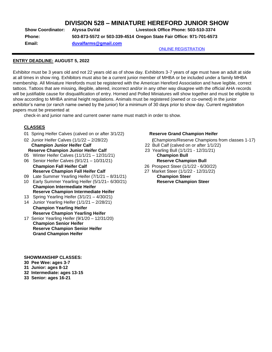## **DIVISION 528 – MINIATURE HEREFORD JUNIOR SHOW**

| <b>Show Coordinator:</b> | Alvssa DuVal                                                        | Livestock Office Phone: 503-510-3374 |  |  |
|--------------------------|---------------------------------------------------------------------|--------------------------------------|--|--|
| <b>Phone:</b>            | 503-873-5572 or 503-339-4514 Oregon State Fair Office: 971-701-6573 |                                      |  |  |
| Email:                   | duvalfarms@gmail.com                                                |                                      |  |  |
|                          |                                                                     | <b>ONLINE REGISTRATION</b>           |  |  |

## **ENTRY DEADLINE: AUGUST 5, 2022**

Exhibitor must be 3 years old and not 22 years old as of show day. Exhibitors 3-7 years of age must have an adult at side at all times in show ring. Exhibitors must also be a current junior member of MHBA or be included under a family MHBA membership. All Miniature Herefords must be registered with the American Hereford Association and have legible, correct tattoos. Tattoos that are missing, illegible, altered, incorrect and/or in any other way disagree with the official AHA records will be justifiable cause for disqualification of entry. Horned and Polled Miniatures will show together and must be eligible to show according to MHBA animal height regulations. Animals must be registered (owned or co-owned) in the junior exhibitor's name (or ranch name owned by the junior) for a minimum of 30 days prior to show day. Current registration papers must be presented at

check-in and junior name and current owner name must match in order to show.

## **CLASSES**

- 01 Spring Heifer Calves (calved on or after 3/1/22) **Reserve Grand Champion Heifer**
- **Champion Junior Heifer Calf** 22 Bull Calf (calved on or after 1/1/22) **Reserve Champion Junior Heifer Calf** 23 Yearling Bull (1/1/21 - 12/31/21)
- 05 Winter Heifer Calves (11/1/21 12/31/21) **Champion Bull**
- 06 Senior Heifer Calves (9/1/21 10/31/21) **Reserve Champion Bull Champion Fall Heifer Calf** 26 Prospect Steer (1/1/22 - 6/30/22) **Reserve Champion Fall Heifer Calf** 27 Market Steer (1/1/22 - 12/31/22)
- 09 Late Summer Yearling Heifer (7/1/21 8/31/21) **Champion Steer** 10 Early Summer Yearling Heifer (5/1/21– 6/30/21) **Reserve Champion Steer**
- **Champion Intermediate Heifer Reserve Champion Intermediate Heifer**
- 13 Spring Yearling Heifer (3/1/21 4/30/21)
- 14 Junior Yearling Heifer (1/1/21 2/28/21) **Champion Yearling Heifer Reserve Champion Yearling Heifer**
- 17 Senior Yearling Heifer (9/1/20 12/31/20) **Champion Senior Heifer Reserve Champion Senior Heifer Grand Champion Heifer**

02 Junior Heifer Calves (1/1/22 – 2/28/22) **(**Champions/Reserve Champions from classes 1-17)

- 
- 
- 
- 

**SHOWMANSHIP CLASSES:**

- **30 Pee Wee: ages 3-7**
- **31 Junior: ages 8-12**
- **32 Intermediate: ages 13-15**
- **33 Senior: ages 16-21**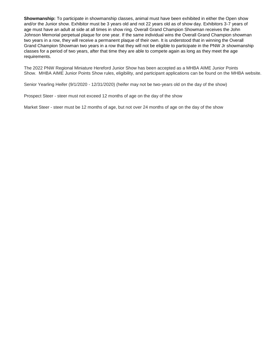**Showmanship:** To participate in showmanship classes, animal must have been exhibited in either the Open show and/or the Junior show. Exhibitor must be 3 years old and not 22 years old as of show day. Exhibitors 3-7 years of age must have an adult at side at all times in show ring. Overall Grand Champion Showman receives the John Johnson Memorial perpetual plaque for one year. If the same individual wins the Overall Grand Champion showman two years in a row, they will receive a permanent plaque of their own. It is understood that in winning the Overall Grand Champion Showman two years in a row that they will not be eligible to participate in the PNW Jr showmanship classes for a period of two years, after that time they are able to compete again as long as they meet the age requirements.

The 2022 PNW Regional Miniature Hereford Junior Show has been accepted as a MHBA AIME Junior Points Show. MHBA AIME Junior Points Show rules, eligibility, and participant applications can be found on the MHBA website.

Senior Yearling Heifer (9/1/2020 - 12/31/2020) (heifer may not be two-years old on the day of the show)

Prospect Steer - steer must not exceed 12 months of age on the day of the show

Market Steer - steer must be 12 months of age, but not over 24 months of age on the day of the show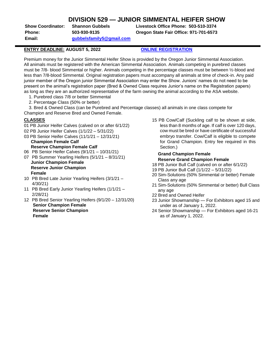## **DIVISION 529 — JUNIOR SIMMENTAL HEIFER SHOW**

**Email: [gubbelsfamily5@gmail.com](mailto:gubbelsfamily5@gmail.com)**

**Show Coordinator: Shannon Gubbels Livestock Office Phone: 503-510-3374 Phone: 503-930-9135 Oregon State Fair Office: 971-701-6573** 

## **ENTRY DEADLINE: AUGUST 5, 2022 [ONLINE REGISTRATION](http://oregona.fairmanager.com/)**

Premium money for the Junior Simmental Heifer Show is provided by the Oregon Junior Simmental Association. All animals must be registered with the American Simmental Association. Animals competing in purebred classes must be 7/8- blood Simmental or higher. Animals competing in the percentage classes must be between ½-blood and less than 7/8-blood Simmental. Original registration papers must accompany all animals at time of check-in. Any paid junior member of the Oregon junior Simmental Association may enter the Show. Juniors' names do not need to be present on the animal's registration paper (Bred & Owned Class requires Junior's name on the Registration papers) as long as they are an authorized representative of the farm owning the animal according to the ASA website.

- 1. Purebred class 7/8 or better Simmental
- 2. Percentage Class (50% or better)

3. Bred & Owned Class (can be Purebred and Percentage classes) all animals in one class compete for Champion and Reserve Bred and Owned Female.

## **CLASSES**

- 01 PB Junior Heifer Calves (calved on or after 6/1/22)
- 02 PB Junior Heifer Calves (1/1/22 5/31/22) 03 PB Senior Heifer Calves (11/1/21 – 12/31/21)
- **Champion Female Calf Reserve Champion Female Calf**
- 06 PB Senior Heifer Calves (9/1/21 10/31/21)
- 07 PB Summer Yearling Heifers (5/1/21 8/31/21) **Junior Champion Female Reserve Junior Champion Female**
- 10 PB Bred Late Junior Yearling Heifers (3/1/21 4/30/21)
- 11 PB Bred Early Junior Yearling Heifers (1/1/21 2/28/21)
- 12 PB Bred Senior Yearling Heifers (9/1/20 12/31/20) **Senior Champion Female Reserve Senior Champion Female**

15 PB Cow/Calf (Suckling calf to be shown at side, less than 8 months of age. If calf is over 120 days, cow must be bred or have certificate of successful embryo transfer. Cow/Calf is eligible to compete for Grand Champion. Entry fee required in this Section.)

## **Grand Champion Female Reserve Grand Champion Female**

- 18 PB Junior Bull Calf (calved on or after 6/1/22)
- 19 PB Junior Bull Calf (1/1/22 5/31/22)
- 20 Sim-Solutions (50% Simmental or better) Female Class any age
- 21 Sim-Solutions (50% Simmental or better) Bull Class any age
- 22 Bred and Owned Heifer
- 23 Junior Showmanship For Exhibitors aged 15 and under as of January 1, 2022.
- 24 Senior Showmanship For Exhibitors aged 16-21 as of January 1, 2022.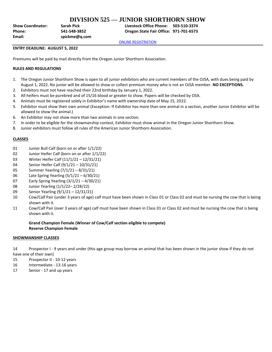## **DIVISION 525 — JUNIOR SHORTHORN SHOW**

**Email: spickme@q.com**

**Show Coordinator: Sarah Pick Livestock Office Phone: 503-510-3374 Phone: 541-548-3852 Oregon State Fair Office: 971-701-6573**

[ONLINE REGISTRATION](http://oregona.fairmanager.com/)

#### **ENTRY DEADLINE: AUGUST 5, 2022**

Premiums will be paid by mail directly from the Oregon Junior Shorthorn Association.

## **RULES AND REGULATIONS**

- 1. The Oregon Junior Shorthorn Show is open to all junior exhibitors who are current members of the OJSA, with dues being paid by August 1, 2022. No junior will be allowed to show or collect premium money who is not an OJSA member. **NO EXCEPTIONS.**
- 2. Exhibitors must not have reached their 22nd birthday by January 1, 2022.
- 3. All heifers must be purebred and of 15/16 blood or greater to show. Papers will be checked by OSA.
- 4. Animals must be registered solely in Exhibitor's name with ownership date of May 15, 2022.
- 5. Exhibitor must show their own animal (Exception: If Exhibitor has more than one animal in a section, another Junior Exhibitor will be allowed to show the animal.)
- 6. An Exhibitor may not show more than two animals in one section.
- 7. In order to be eligible for the showmanship contest, Exhibitor must show animal in the Oregon Junior Shorthorn Show.
- 8. Junior exhibitors must follow all rules of the American Junior Shorthorn Association.

#### **CLASSES**

- 01 Junior Bull Calf (born on or after 1/1/22)
- 02 Junior Heifer Calf (born on or after 1/1/22)
- 03 Winter Heifer Calf (11/1/21 12/31/21)
- 04 Senior Heifer Calf (9/1/21 10/31/21)
- 05 Summer Yearling (7/1/21 8/31/21)
- 06 Late Spring Yearling (5/1/21 6/30/21)
- 07 Early Spring Yearling (3/1/21 4/30/21)
- 08 Junior Yearling (1/1/22– 2/28/22)
- 09 Senior Yearling (9/1/21 12/31/21)
- 10 Cow/Calf Pair (under 3 years of age) calf must have been shown in Class 01 or Class 02 and must be nursing the cow that is being shown with it.
- 11 Cow/Calf Pair (over 3 years of age) calf must have been shown in Class 01 or Class 02 and must be nursing the cow that is being shown with it.

## **Grand Champion Female (Winner of Cow/Calf section eligible to compete) Reserve Champion Female**

#### **SHOWMANSHIP CLASSES**

14 Prospector I - 9 years and under (this age group may borrow an animal that has been shown in the junior show if they do not

have one of their own)

- 15 Prospector II 10-12 years
- 16 Intermediate 13-16 years
- 17 Senior 17 and up years